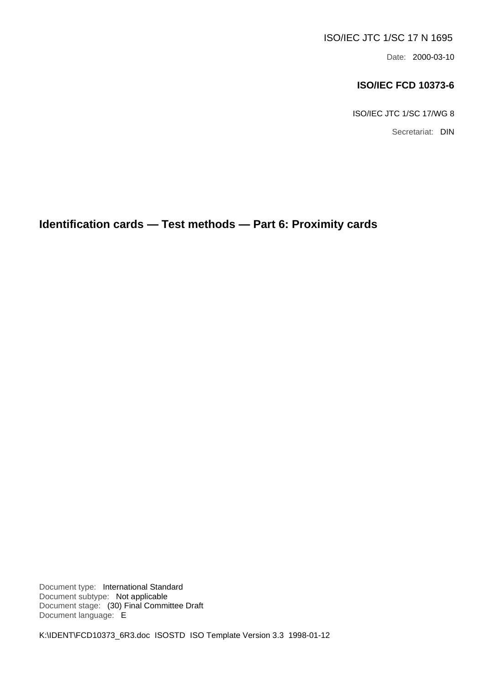### ISO/IEC JTC 1/SC 17 N 1695

Date: 2000-03-10

### **ISO/IEC FCD 10373-6**

ISO/IEC JTC 1/SC 17/WG 8

Secretariat: DIN

**Identification cards — Test methods — Part 6: Proximity cards**

Document type: International Standard Document subtype: Not applicable Document stage: (30) Final Committee Draft Document language: E

K:\IDENT\FCD10373\_6R3.doc ISOSTD ISO Template Version 3.3 1998-01-12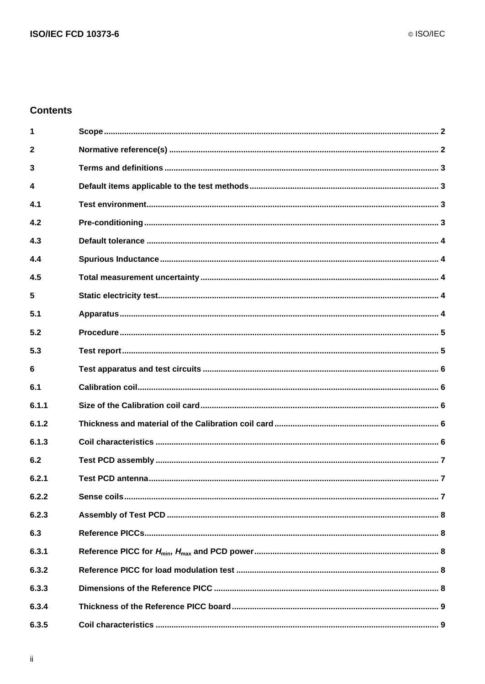### **Contents**

| 1            |  |
|--------------|--|
| $\mathbf{2}$ |  |
| 3            |  |
| 4            |  |
| 4.1          |  |
| 4.2          |  |
| 4.3          |  |
| 4.4          |  |
| 4.5          |  |
| 5            |  |
| 5.1          |  |
| 5.2          |  |
| 5.3          |  |
| 6            |  |
|              |  |
| 6.1          |  |
| 6.1.1        |  |
| 6.1.2        |  |
| 6.1.3        |  |
| 6.2          |  |
| 6.2.1        |  |
| 6.2.2        |  |
| 6.2.3        |  |
| 6.3          |  |
| 6.3.1        |  |
| 6.3.2        |  |
| 6.3.3        |  |
| 6.3.4        |  |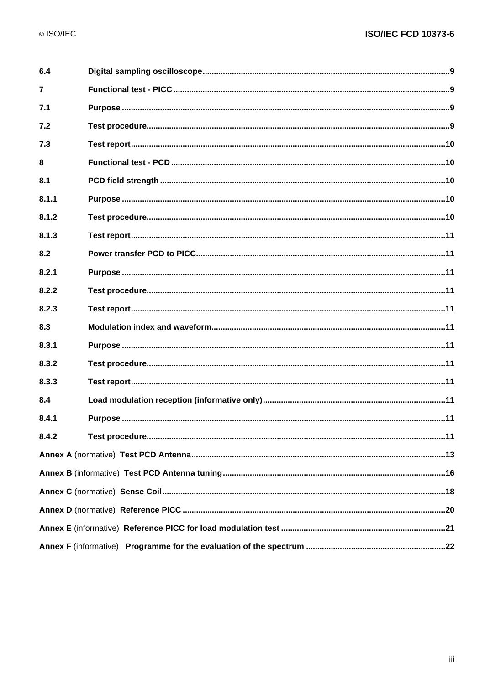| 6.4            |  |
|----------------|--|
| $\overline{7}$ |  |
| 7.1            |  |
| 7.2            |  |
| 7.3            |  |
| 8              |  |
| 8.1            |  |
| 8.1.1          |  |
| 8.1.2          |  |
| 8.1.3          |  |
| 8.2            |  |
| 8.2.1          |  |
| 8.2.2          |  |
| 8.2.3          |  |
| 8.3            |  |
| 8.3.1          |  |
| 8.3.2          |  |
| 8.3.3          |  |
| 8.4            |  |
| 8.4.1          |  |
| 8.4.2          |  |
|                |  |
|                |  |
|                |  |
|                |  |
|                |  |
|                |  |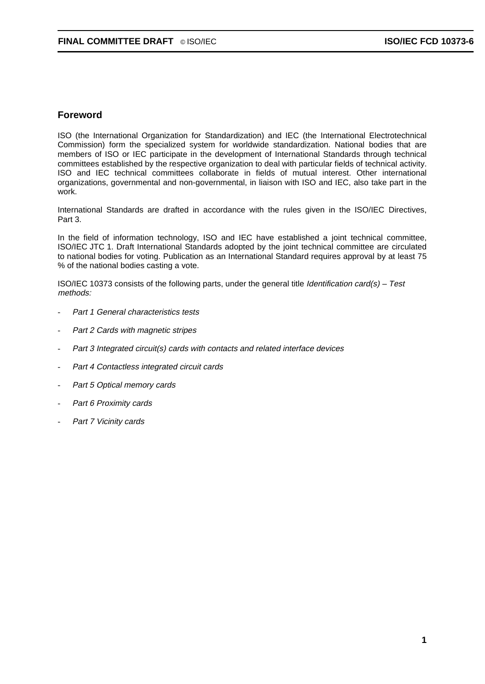#### **Foreword**

ISO (the International Organization for Standardization) and IEC (the International Electrotechnical Commission) form the specialized system for worldwide standardization. National bodies that are members of ISO or IEC participate in the development of International Standards through technical committees established by the respective organization to deal with particular fields of technical activity. ISO and IEC technical committees collaborate in fields of mutual interest. Other international organizations, governmental and non-governmental, in liaison with ISO and IEC, also take part in the work.

International Standards are drafted in accordance with the rules given in the ISO/IEC Directives, Part 3.

In the field of information technology, ISO and IEC have established a joint technical committee, ISO/IEC JTC 1. Draft International Standards adopted by the joint technical committee are circulated to national bodies for voting. Publication as an International Standard requires approval by at least 75 % of the national bodies casting a vote.

ISO/IEC 10373 consists of the following parts, under the general title *Identification card(s) – Test* methods:

- Part 1 General characteristics tests
- Part 2 Cards with magnetic stripes
- Part 3 Integrated circuit(s) cards with contacts and related interface devices
- Part 4 Contactless integrated circuit cards
- Part 5 Optical memory cards
- Part 6 Proximity cards
- Part 7 Vicinity cards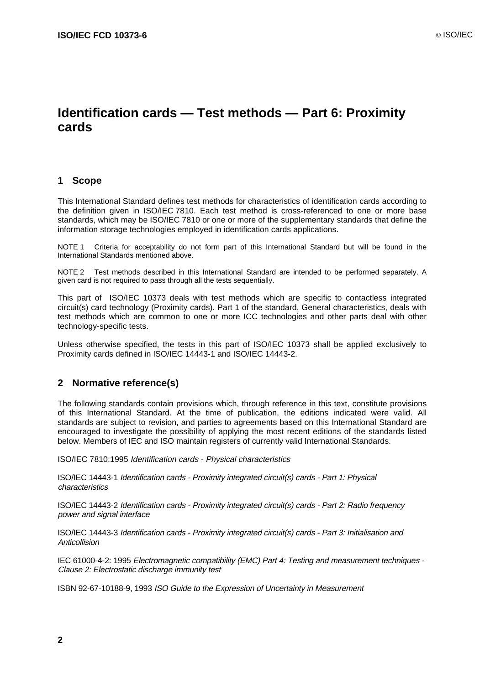# **Identification cards — Test methods — Part 6: Proximity cards**

#### **1 Scope**

This International Standard defines test methods for characteristics of identification cards according to the definition given in ISO/IEC 7810. Each test method is cross-referenced to one or more base standards, which may be ISO/IEC 7810 or one or more of the supplementary standards that define the information storage technologies employed in identification cards applications.

NOTE 1 Criteria for acceptability do not form part of this International Standard but will be found in the International Standards mentioned above.

NOTE 2 Test methods described in this International Standard are intended to be performed separately. A given card is not required to pass through all the tests sequentially.

This part of ISO/IEC 10373 deals with test methods which are specific to contactless integrated circuit(s) card technology (Proximity cards). Part 1 of the standard, General characteristics, deals with test methods which are common to one or more ICC technologies and other parts deal with other technology-specific tests.

Unless otherwise specified, the tests in this part of ISO/IEC 10373 shall be applied exclusively to Proximity cards defined in ISO/IEC 14443-1 and ISO/IEC 14443-2.

#### **2 Normative reference(s)**

The following standards contain provisions which, through reference in this text, constitute provisions of this International Standard. At the time of publication, the editions indicated were valid. All standards are subject to revision, and parties to agreements based on this International Standard are encouraged to investigate the possibility of applying the most recent editions of the standards listed below. Members of IEC and ISO maintain registers of currently valid International Standards.

ISO/IEC 7810:1995 Identification cards - Physical characteristics

ISO/IEC 14443-1 Identification cards - Proximity integrated circuit(s) cards - Part 1: Physical characteristics

ISO/IEC 14443-2 Identification cards - Proximity integrated circuit(s) cards - Part 2: Radio frequency power and signal interface

ISO/IEC 14443-3 Identification cards - Proximity integrated circuit(s) cards - Part 3: Initialisation and **Anticollision** 

IEC 61000-4-2: 1995 Electromagnetic compatibility (EMC) Part 4: Testing and measurement techniques - Clause 2: Electrostatic discharge immunity test

ISBN 92-67-10188-9, 1993 ISO Guide to the Expression of Uncertainty in Measurement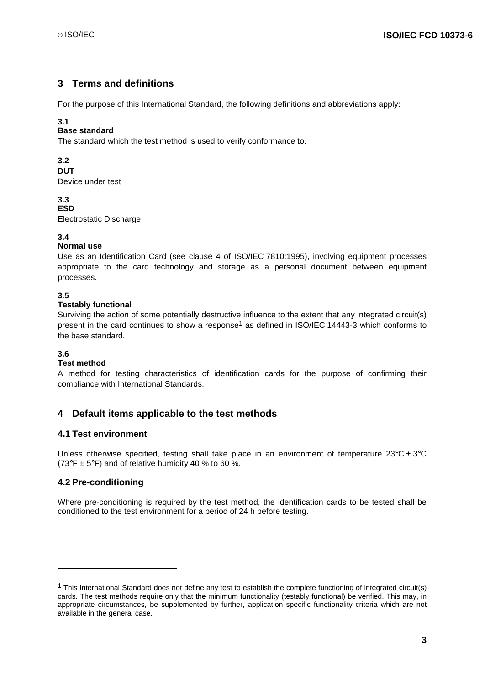### **3 Terms and definitions**

For the purpose of this International Standard, the following definitions and abbreviations apply:

#### **3.1**

#### **Base standard**

The standard which the test method is used to verify conformance to.

#### **3.2**

#### **DUT**

Device under test

#### **3.3 ESD**

Electrostatic Discharge

#### **3.4**

#### **Normal use**

Use as an Identification Card (see clause 4 of ISO/IEC 7810:1995), involving equipment processes appropriate to the card technology and storage as a personal document between equipment processes.

#### **3.5**

#### **Testably functional**

Surviving the action of some potentially destructive influence to the extent that any integrated circuit(s) present in the card continues to show a response<sup>1</sup> as defined in ISO/IEC 14443-3 which conforms to the base standard.

#### **3.6**

-

#### **Test method**

A method for testing characteristics of identification cards for the purpose of confirming their compliance with International Standards.

### **4 Default items applicable to the test methods**

#### **4.1 Test environment**

Unless otherwise specified, testing shall take place in an environment of temperature  $23^{\circ}C \pm 3^{\circ}C$ (73°F  $\pm$  5°F) and of relative humidity 40 % to 60 %.

#### **4.2 Pre-conditioning**

Where pre-conditioning is required by the test method, the identification cards to be tested shall be conditioned to the test environment for a period of 24 h before testing.

<sup>1</sup> This International Standard does not define any test to establish the complete functioning of integrated circuit(s) cards. The test methods require only that the minimum functionality (testably functional) be verified. This may, in appropriate circumstances, be supplemented by further, application specific functionality criteria which are not available in the general case.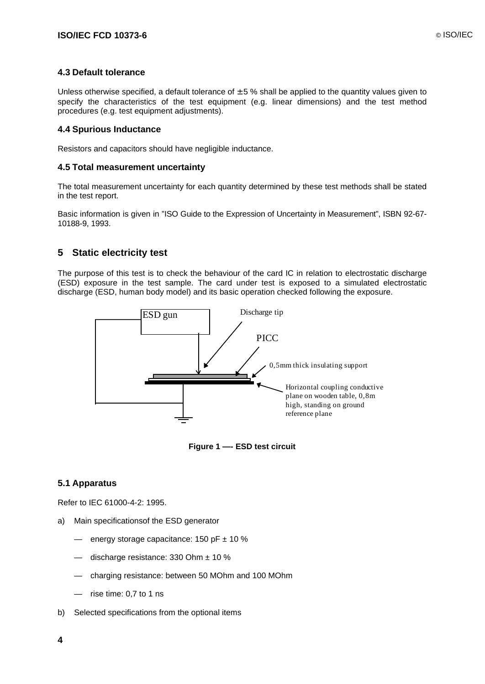#### **4.3 Default tolerance**

Unless otherwise specified, a default tolerance of  $\pm$  5 % shall be applied to the quantity values given to specify the characteristics of the test equipment (e.g. linear dimensions) and the test method procedures (e.g. test equipment adjustments).

#### **4.4 Spurious Inductance**

Resistors and capacitors should have negligible inductance.

#### **4.5 Total measurement uncertainty**

The total measurement uncertainty for each quantity determined by these test methods shall be stated in the test report.

Basic information is given in "ISO Guide to the Expression of Uncertainty in Measurement", ISBN 92-67- 10188-9, 1993.

### **5 Static electricity test**

The purpose of this test is to check the behaviour of the card IC in relation to electrostatic discharge (ESD) exposure in the test sample. The card under test is exposed to a simulated electrostatic discharge (ESD, human body model) and its basic operation checked following the exposure.





#### **5.1 Apparatus**

Refer to IEC 61000-4-2: 1995.

- a) Main specificationsof the ESD generator
	- energy storage capacitance:  $150$  pF  $\pm$  10 %
	- $-$  discharge resistance: 330 Ohm  $\pm$  10 %
	- charging resistance: between 50 MOhm and 100 MOhm
	- rise time: 0,7 to 1 ns
- b) Selected specifications from the optional items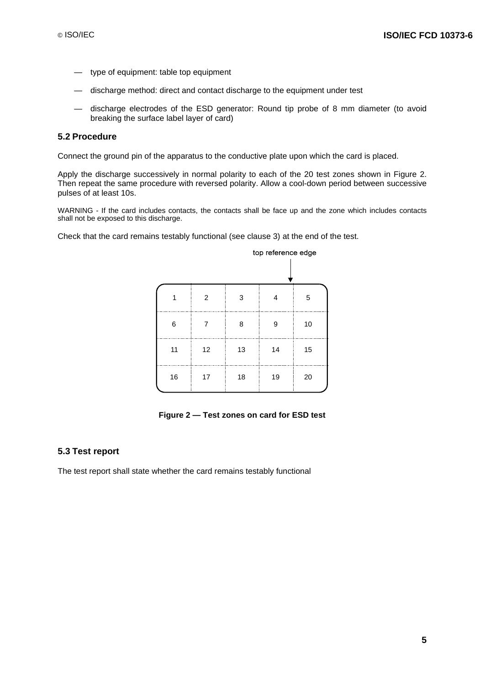- type of equipment: table top equipment
- discharge method: direct and contact discharge to the equipment under test
- discharge electrodes of the ESD generator: Round tip probe of 8 mm diameter (to avoid breaking the surface label layer of card)

#### **5.2 Procedure**

Connect the ground pin of the apparatus to the conductive plate upon which the card is placed.

Apply the discharge successively in normal polarity to each of the 20 test zones shown in Figure 2. Then repeat the same procedure with reversed polarity. Allow a cool-down period between successive pulses of at least 10s.

WARNING - If the card includes contacts, the contacts shall be face up and the zone which includes contacts shall not be exposed to this discharge.

Check that the card remains testably functional (see clause 3) at the end of the test.

|    | top reference edge |    |    |    |
|----|--------------------|----|----|----|
|    |                    |    |    |    |
| 1  | 2                  | 3  | 4  | 5  |
| 6  | 7                  | 8  | 9  | 10 |
| 11 | 12                 | 13 | 14 | 15 |
| 16 | 17                 | 18 | 19 | 20 |

**Figure 2 — Test zones on card for ESD test**

#### **5.3 Test report**

The test report shall state whether the card remains testably functional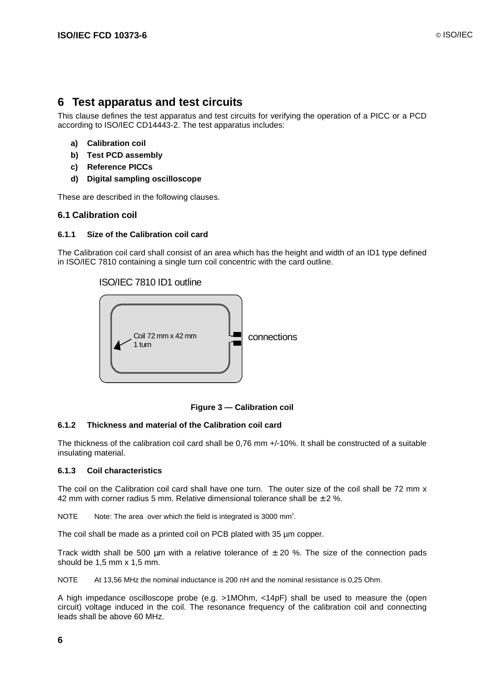### **6 Test apparatus and test circuits**

This clause defines the test apparatus and test circuits for verifying the operation of a PICC or a PCD according to ISO/IEC CD14443-2. The test apparatus includes:

- **a) Calibration coil**
- **b) Test PCD assembly**
- **c) Reference PICCs**
- **d) Digital sampling oscilloscope**

These are described in the following clauses.

### **6.1 Calibration coil**

#### **6.1.1 Size of the Calibration coil card**

The Calibration coil card shall consist of an area which has the height and width of an ID1 type defined in ISO/IEC 7810 containing a single turn coil concentric with the card outline.

#### ISO/IEC 7810 ID1 outline



**Figure 3 — Calibration coil**

#### **6.1.2 Thickness and material of the Calibration coil card**

The thickness of the calibration coil card shall be 0,76 mm +/-10%. It shall be constructed of a suitable insulating material.

#### **6.1.3 Coil characteristics**

The coil on the Calibration coil card shall have one turn. The outer size of the coil shall be 72 mm x 42 mm with corner radius 5 mm. Relative dimensional tolerance shall be  $\pm$  2 %.

NOTE Note: The area over which the field is integrated is 3000 mm<sup>2</sup>.

The coil shall be made as a printed coil on PCB plated with 35 µm copper.

Track width shall be 500  $\mu$ m with a relative tolerance of  $\pm$  20 %. The size of the connection pads should be 1,5 mm x 1,5 mm.

NOTE At 13,56 MHz the nominal inductance is 200 nH and the nominal resistance is 0,25 Ohm.

A high impedance oscilloscope probe (e.g. >1MOhm, <14pF) shall be used to measure the (open circuit) voltage induced in the coil. The resonance frequency of the calibration coil and connecting leads shall be above 60 MHz.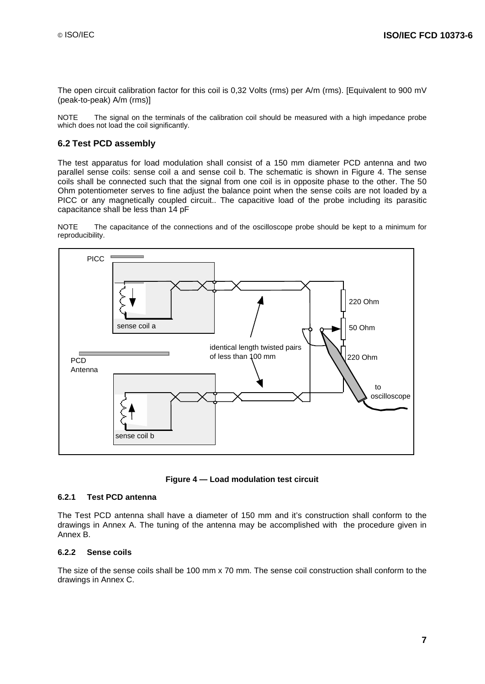The open circuit calibration factor for this coil is 0,32 Volts (rms) per A/m (rms). [Equivalent to 900 mV (peak-to-peak) A/m (rms)]

NOTE The signal on the terminals of the calibration coil should be measured with a high impedance probe which does not load the coil significantly.

#### **6.2 Test PCD assembly**

The test apparatus for load modulation shall consist of a 150 mm diameter PCD antenna and two parallel sense coils: sense coil a and sense coil b. The schematic is shown in Figure 4. The sense coils shall be connected such that the signal from one coil is in opposite phase to the other. The 50 Ohm potentiometer serves to fine adjust the balance point when the sense coils are not loaded by a PICC or any magnetically coupled circuit.. The capacitive load of the probe including its parasitic capacitance shall be less than 14 pF

NOTE The capacitance of the connections and of the oscilloscope probe should be kept to a minimum for reproducibility.





#### **6.2.1 Test PCD antenna**

The Test PCD antenna shall have a diameter of 150 mm and it's construction shall conform to the drawings in Annex A. The tuning of the antenna may be accomplished with the procedure given in Annex B.

#### **6.2.2 Sense coils**

The size of the sense coils shall be 100 mm x 70 mm. The sense coil construction shall conform to the drawings in Annex C.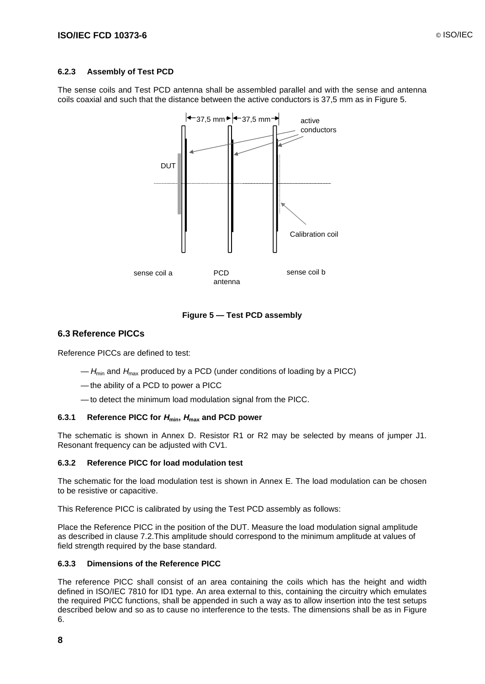#### **6.2.3 Assembly of Test PCD**

The sense coils and Test PCD antenna shall be assembled parallel and with the sense and antenna coils coaxial and such that the distance between the active conductors is 37,5 mm as in Figure 5.



**Figure 5 — Test PCD assembly**

#### **6.3 Reference PICCs**

Reference PICCs are defined to test:

- $-H_{min}$  and  $H_{max}$  produced by a PCD (under conditions of loading by a PICC)
- the ability of a PCD to power a PICC
- to detect the minimum load modulation signal from the PICC.

#### **6.3.1 Reference PICC for Hmin, Hmax and PCD power**

The schematic is shown in Annex D. Resistor R1 or R2 may be selected by means of jumper J1. Resonant frequency can be adjusted with CV1.

#### **6.3.2 Reference PICC for load modulation test**

The schematic for the load modulation test is shown in Annex E. The load modulation can be chosen to be resistive or capacitive.

This Reference PICC is calibrated by using the Test PCD assembly as follows:

Place the Reference PICC in the position of the DUT. Measure the load modulation signal amplitude as described in clause 7.2.This amplitude should correspond to the minimum amplitude at values of field strength required by the base standard.

#### **6.3.3 Dimensions of the Reference PICC**

The reference PICC shall consist of an area containing the coils which has the height and width defined in ISO/IEC 7810 for ID1 type. An area external to this, containing the circuitry which emulates the required PICC functions, shall be appended in such a way as to allow insertion into the test setups described below and so as to cause no interference to the tests. The dimensions shall be as in Figure 6.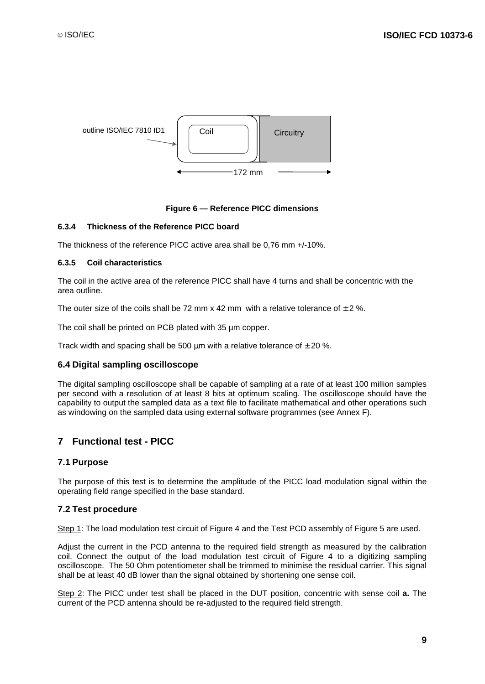

#### **Figure 6 — Reference PICC dimensions**

#### **6.3.4 Thickness of the Reference PICC board**

The thickness of the reference PICC active area shall be 0,76 mm +/-10%.

#### **6.3.5 Coil characteristics**

The coil in the active area of the reference PICC shall have 4 turns and shall be concentric with the area outline.

The outer size of the coils shall be 72 mm x 42 mm with a relative tolerance of  $\pm 2\%$ 

The coil shall be printed on PCB plated with 35 µm copper.

Track width and spacing shall be 500  $\mu$ m with a relative tolerance of  $\pm$  20 %.

#### **6.4 Digital sampling oscilloscope**

The digital sampling oscilloscope shall be capable of sampling at a rate of at least 100 million samples per second with a resolution of at least 8 bits at optimum scaling. The oscilloscope should have the capability to output the sampled data as a text file to facilitate mathematical and other operations such as windowing on the sampled data using external software programmes (see Annex F).

### **7 Functional test - PICC**

#### **7.1 Purpose**

The purpose of this test is to determine the amplitude of the PICC load modulation signal within the operating field range specified in the base standard.

#### **7.2 Test procedure**

Step 1: The load modulation test circuit of Figure 4 and the Test PCD assembly of Figure 5 are used.

Adjust the current in the PCD antenna to the required field strength as measured by the calibration coil. Connect the output of the load modulation test circuit of Figure 4 to a digitizing sampling oscilloscope. The 50 Ohm potentiometer shall be trimmed to minimise the residual carrier. This signal shall be at least 40 dB lower than the signal obtained by shortening one sense coil.

Step 2: The PICC under test shall be placed in the DUT position, concentric with sense coil **a.** The current of the PCD antenna should be re-adjusted to the required field strength.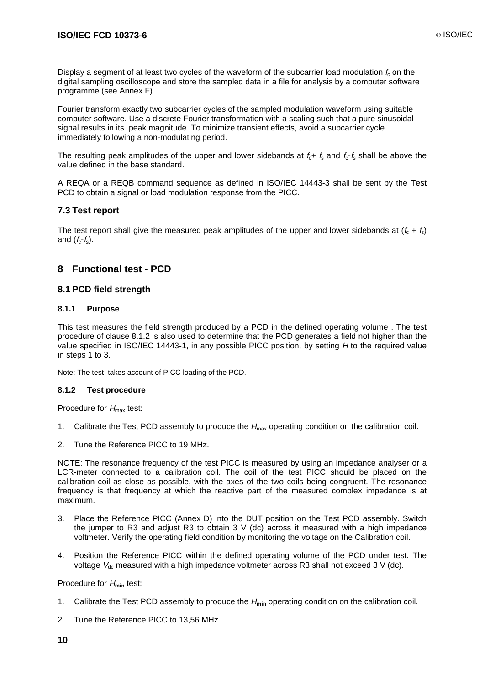Display a segment of at least two cycles of the waveform of the subcarrier load modulation  $f_c$  on the digital sampling oscilloscope and store the sampled data in a file for analysis by a computer software programme (see Annex F).

Fourier transform exactly two subcarrier cycles of the sampled modulation waveform using suitable computer software. Use a discrete Fourier transformation with a scaling such that a pure sinusoidal signal results in its peak magnitude. To minimize transient effects, avoid a subcarrier cycle immediately following a non-modulating period.

The resulting peak amplitudes of the upper and lower sidebands at  $f_c + f_s$  and  $f_c - f_s$  shall be above the value defined in the base standard.

A REQA or a REQB command sequence as defined in ISO/IEC 14443-3 shall be sent by the Test PCD to obtain a signal or load modulation response from the PICC.

#### **7.3 Test report**

The test report shall give the measured peak amplitudes of the upper and lower sidebands at  $(f_c + f_s)$ and  $(f_c-f_s)$ .

#### **8 Functional test - PCD**

#### **8.1 PCD field strength**

#### **8.1.1 Purpose**

This test measures the field strength produced by a PCD in the defined operating volume . The test procedure of clause 8.1.2 is also used to determine that the PCD generates a field not higher than the value specified in ISO/IEC 14443-1, in any possible PICC position, by setting H to the required value in steps 1 to 3.

Note: The test takes account of PICC loading of the PCD.

#### **8.1.2 Test procedure**

Procedure for  $H_{\text{max}}$  test:

- 1. Calibrate the Test PCD assembly to produce the  $H_{\text{max}}$  operating condition on the calibration coil.
- 2. Tune the Reference PICC to 19 MHz.

NOTE: The resonance frequency of the test PICC is measured by using an impedance analyser or a LCR-meter connected to a calibration coil. The coil of the test PICC should be placed on the calibration coil as close as possible, with the axes of the two coils being congruent. The resonance frequency is that frequency at which the reactive part of the measured complex impedance is at maximum.

- 3. Place the Reference PICC (Annex D) into the DUT position on the Test PCD assembly. Switch the jumper to R3 and adjust R3 to obtain 3 V (dc) across it measured with a high impedance voltmeter. Verify the operating field condition by monitoring the voltage on the Calibration coil.
- 4. Position the Reference PICC within the defined operating volume of the PCD under test. The voltage  $V_{dc}$  measured with a high impedance voltmeter across R3 shall not exceed 3 V (dc).

Procedure for H**min** test:

- 1. Calibrate the Test PCD assembly to produce the H**min** operating condition on the calibration coil.
- 2. Tune the Reference PICC to 13,56 MHz.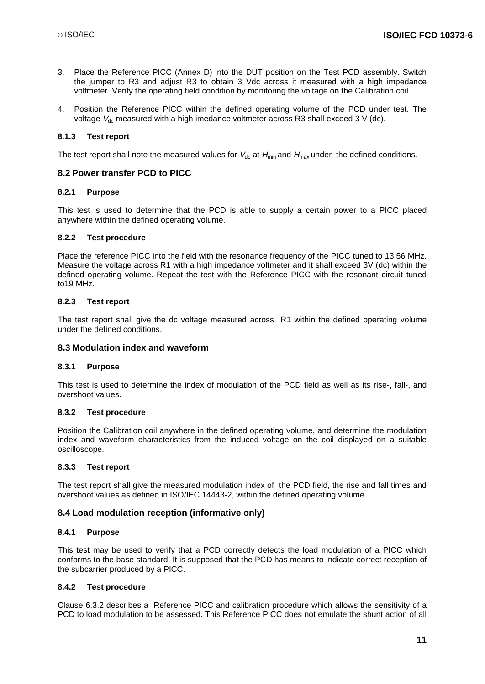- 3. Place the Reference PICC (Annex D) into the DUT position on the Test PCD assembly. Switch the jumper to R3 and adjust R3 to obtain 3 Vdc across it measured with a high impedance voltmeter. Verify the operating field condition by monitoring the voltage on the Calibration coil.
- 4. Position the Reference PICC within the defined operating volume of the PCD under test. The voltage  $V_{dc}$  measured with a high imedance voltmeter across R3 shall exceed 3 V (dc).

#### **8.1.3 Test report**

The test report shall note the measured values for  $V_{dc}$  at  $H_{min}$  and  $H_{max}$  under the defined conditions.

#### **8.2 Power transfer PCD to PICC**

#### **8.2.1 Purpose**

This test is used to determine that the PCD is able to supply a certain power to a PICC placed anywhere within the defined operating volume.

#### **8.2.2 Test procedure**

Place the reference PICC into the field with the resonance frequency of the PICC tuned to 13,56 MHz. Measure the voltage across R1 with a high impedance voltmeter and it shall exceed 3V (dc) within the defined operating volume. Repeat the test with the Reference PICC with the resonant circuit tuned to19 MHz.

#### **8.2.3 Test report**

The test report shall give the dc voltage measured across R1 within the defined operating volume under the defined conditions.

#### **8.3 Modulation index and waveform**

#### **8.3.1 Purpose**

This test is used to determine the index of modulation of the PCD field as well as its rise-, fall-, and overshoot values.

#### **8.3.2 Test procedure**

Position the Calibration coil anywhere in the defined operating volume, and determine the modulation index and waveform characteristics from the induced voltage on the coil displayed on a suitable oscilloscope.

#### **8.3.3 Test report**

The test report shall give the measured modulation index of the PCD field, the rise and fall times and overshoot values as defined in ISO/IEC 14443-2, within the defined operating volume.

#### **8.4 Load modulation reception (informative only)**

#### **8.4.1 Purpose**

This test may be used to verify that a PCD correctly detects the load modulation of a PICC which conforms to the base standard. It is supposed that the PCD has means to indicate correct reception of the subcarrier produced by a PICC.

#### **8.4.2 Test procedure**

Clause 6.3.2 describes a Reference PICC and calibration procedure which allows the sensitivity of a PCD to load modulation to be assessed. This Reference PICC does not emulate the shunt action of all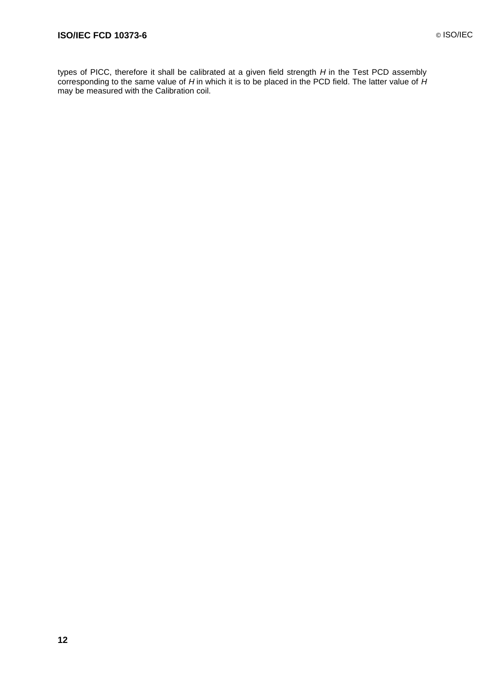types of PICC, therefore it shall be calibrated at a given field strength H in the Test PCD assembly corresponding to the same value of H in which it is to be placed in the PCD field. The latter value of H may be measured with the Calibration coil.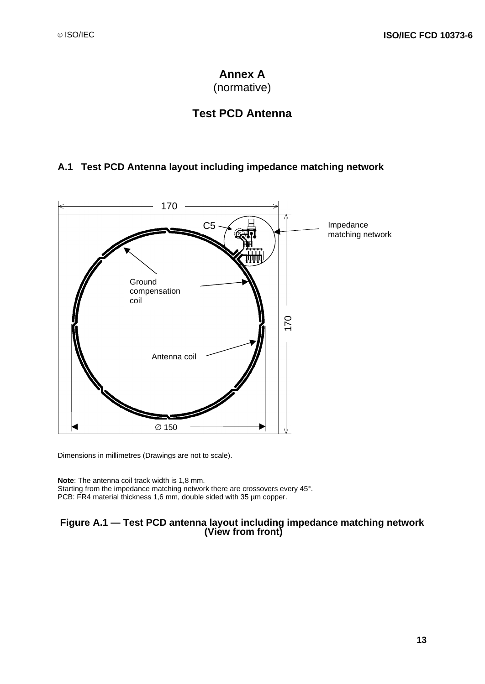# **Annex A**

(normative)

# **Test PCD Antenna**

### **A.1 Test PCD Antenna layout including impedance matching network**



Dimensions in millimetres (Drawings are not to scale).

**Note**: The antenna coil track width is 1,8 mm. Starting from the impedance matching network there are crossovers every 45°. PCB: FR4 material thickness 1,6 mm, double sided with 35 µm copper.

# **Figure A.1 — Test PCD antenna layout including impedance matching network (View from front)**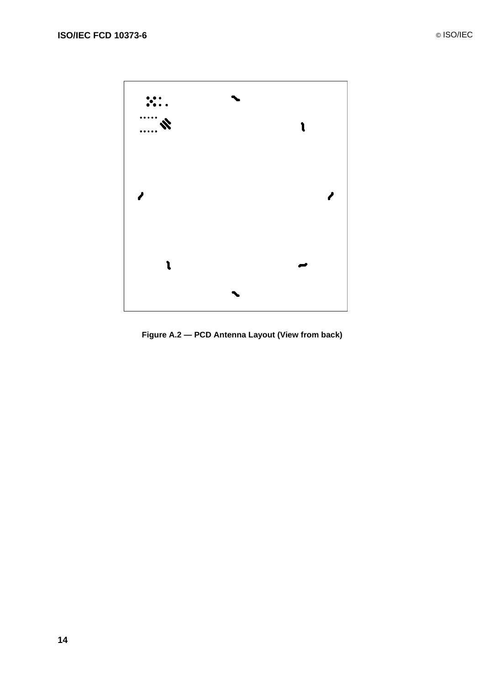

**Figure A.2 — PCD Antenna Layout (View from back)**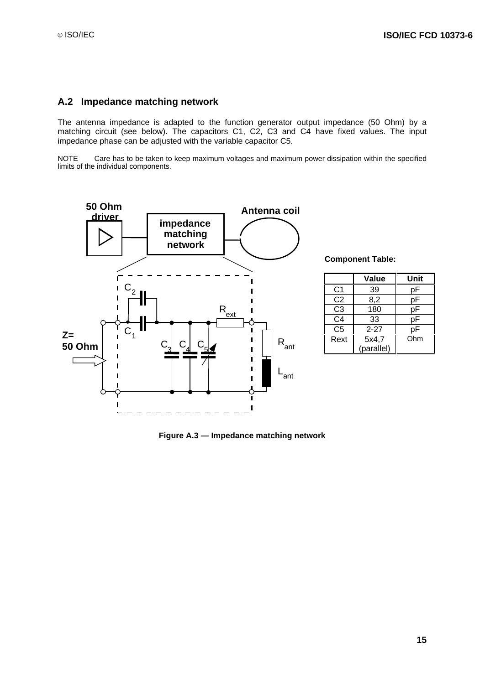#### **A.2 Impedance matching network**

The antenna impedance is adapted to the function generator output impedance (50 Ohm) by a matching circuit (see below). The capacitors C1, C2, C3 and C4 have fixed values. The input impedance phase can be adjusted with the variable capacitor C5.

NOTE Care has to be taken to keep maximum voltages and maximum power dissipation within the specified limits of the individual components.



**Component Table:**

|                | Value      | Unit |
|----------------|------------|------|
| C1             | 39         | рF   |
| C <sub>2</sub> | 8,2        | рF   |
| C <sub>3</sub> | 180        | рF   |
| C <sub>4</sub> | 33         | рF   |
| C5             | $2 - 27$   | рF   |
| Rext           | 5x4,7      | Ohm  |
|                | (parallel) |      |

**Figure A.3 — Impedance matching network**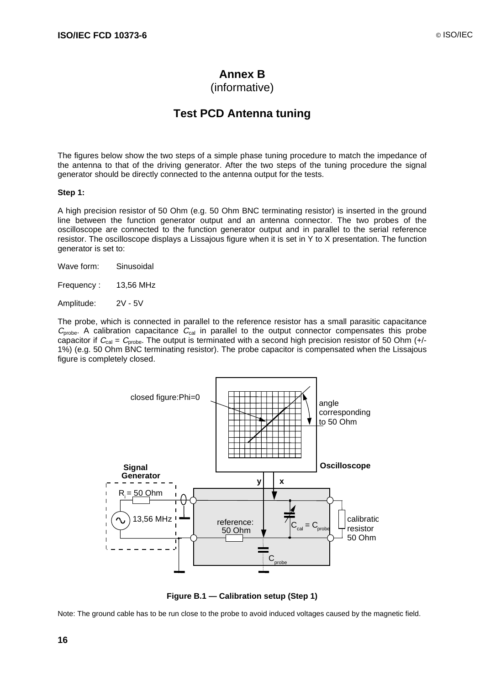### **Annex B**

### (informative)

### **Test PCD Antenna tuning**

The figures below show the two steps of a simple phase tuning procedure to match the impedance of the antenna to that of the driving generator. After the two steps of the tuning procedure the signal generator should be directly connected to the antenna output for the tests.

#### **Step 1:**

A high precision resistor of 50 Ohm (e.g. 50 Ohm BNC terminating resistor) is inserted in the ground line between the function generator output and an antenna connector. The two probes of the oscilloscope are connected to the function generator output and in parallel to the serial reference resistor. The oscilloscope displays a Lissajous figure when it is set in Y to X presentation. The function generator is set to:

- Wave form: Sinusoidal
- Frequency : 13,56 MHz

Amplitude: 2V - 5V

The probe, which is connected in parallel to the reference resistor has a small parasitic capacitance  $C_{\text{probe}}$ . A calibration capacitance  $C_{\text{cal}}$  in parallel to the output connector compensates this probe capacitor if  $C_{\text{cal}} = C_{\text{probe}}$ . The output is terminated with a second high precision resistor of 50 Ohm (+/-1%) (e.g. 50 Ohm BNC terminating resistor). The probe capacitor is compensated when the Lissajous figure is completely closed.



**Figure B.1 — Calibration setup (Step 1)**

Note: The ground cable has to be run close to the probe to avoid induced voltages caused by the magnetic field.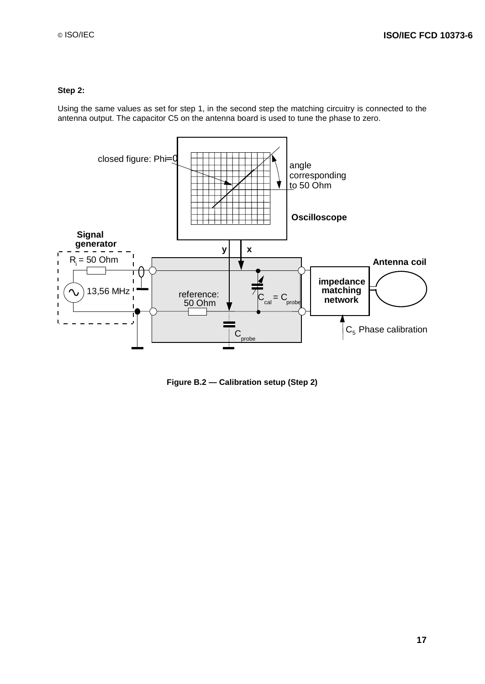#### **Step 2:**

Using the same values as set for step 1, in the second step the matching circuitry is connected to the antenna output. The capacitor C5 on the antenna board is used to tune the phase to zero.



**Figure B.2 — Calibration setup (Step 2)**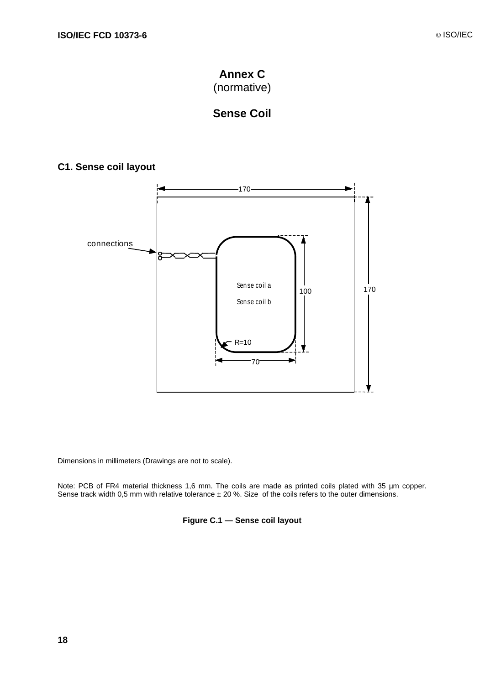

# **Sense Coil**

### **C1. Sense coil layout**



Dimensions in millimeters (Drawings are not to scale).

Note: PCB of FR4 material thickness 1,6 mm. The coils are made as printed coils plated with 35 µm copper. Sense track width 0,5 mm with relative tolerance ± 20 %. Size of the coils refers to the outer dimensions.

**Figure C.1 — Sense coil layout**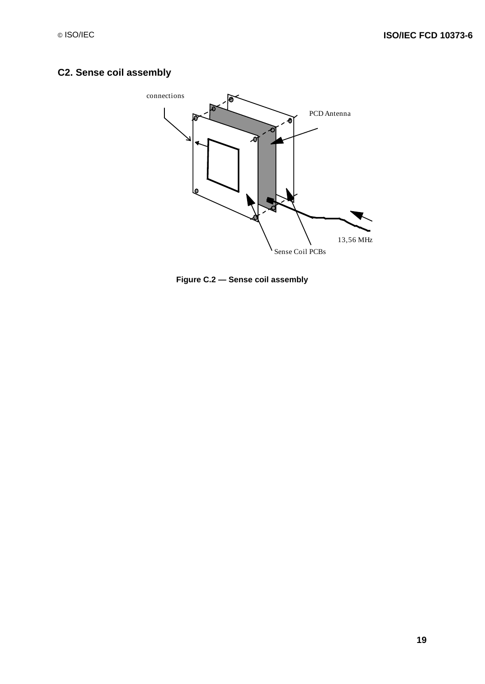# **C2. Sense coil assembly**



**Figure C.2 — Sense coil assembly**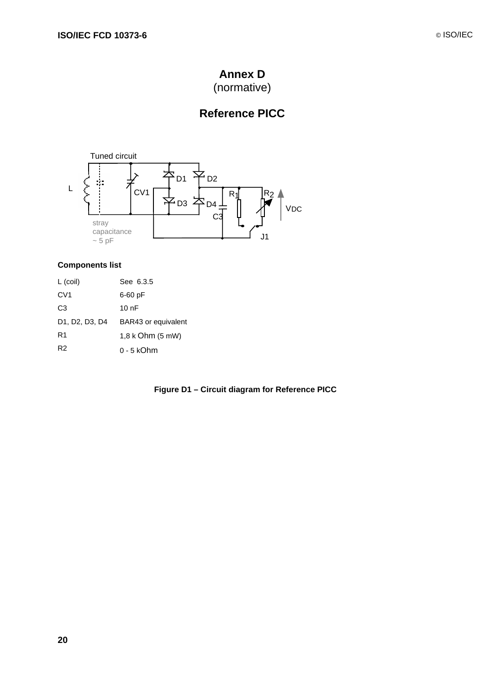# **Annex D**

(normative)

# **Reference PICC**



### **Components list**

| $L$ (coil)      | See 6.3.5            |
|-----------------|----------------------|
| CV <sub>1</sub> | 6-60 pF              |
| C3              | 10 <sub>0</sub> F    |
| D1. D2. D3. D4  | BAR43 or equivalent  |
| R <sub>1</sub>  | $1.8$ k Ohm $(5$ mW) |
| R <sub>2</sub>  | $0 - 5$ kOhm         |

### **Figure D1 – Circuit diagram for Reference PICC**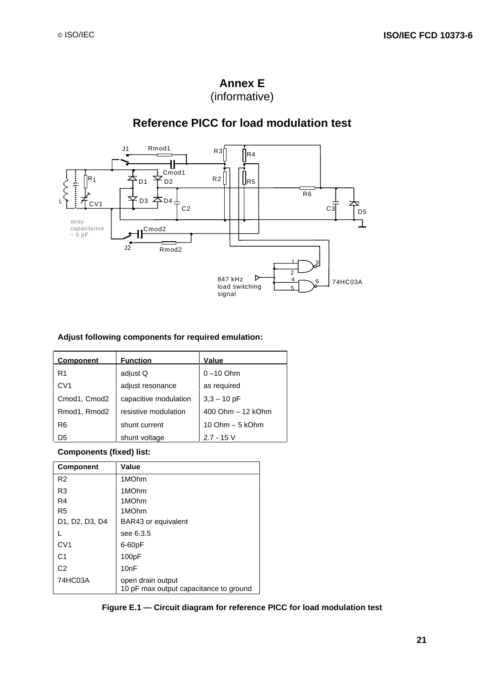

### **Annex E** (informative)

# **Reference PICC for load modulation test**

#### **Adjust following components for required emulation:**

| <b>Component</b> | <b>Function</b>       | Value             |
|------------------|-----------------------|-------------------|
| R1               | adiust Q              | $0 - 10$ Ohm      |
| CV <sub>1</sub>  | adjust resonance      | as required       |
| Cmod1, Cmod2     | capacitive modulation | $3,3 - 10$ pF     |
| Rmod1, Rmod2     | resistive modulation  | 400 Ohm - 12 kOhm |
| R6               | shunt current         | 10 Ohm $-5$ kOhm  |
| D <sub>5</sub>   | shunt voltage         | $2.7 - 15$ V      |

**Components (fixed) list:**

| <b>Component</b> | Value                                                       |
|------------------|-------------------------------------------------------------|
| R <sub>2</sub>   | 1MOhm                                                       |
| R <sub>3</sub>   | 1MOhm                                                       |
| R4               | 1MOhm                                                       |
| R <sub>5</sub>   | 1MOhm                                                       |
| D1, D2, D3, D4   | BAR43 or equivalent                                         |
|                  | see 6.3.5                                                   |
| CVI              | $6-60pF$                                                    |
| C <sub>1</sub>   | 100pF                                                       |
| C <sub>2</sub>   | 10nF                                                        |
| 74HC03A          | open drain output<br>10 pF max output capacitance to ground |

**Figure E.1 — Circuit diagram for reference PICC for load modulation test**